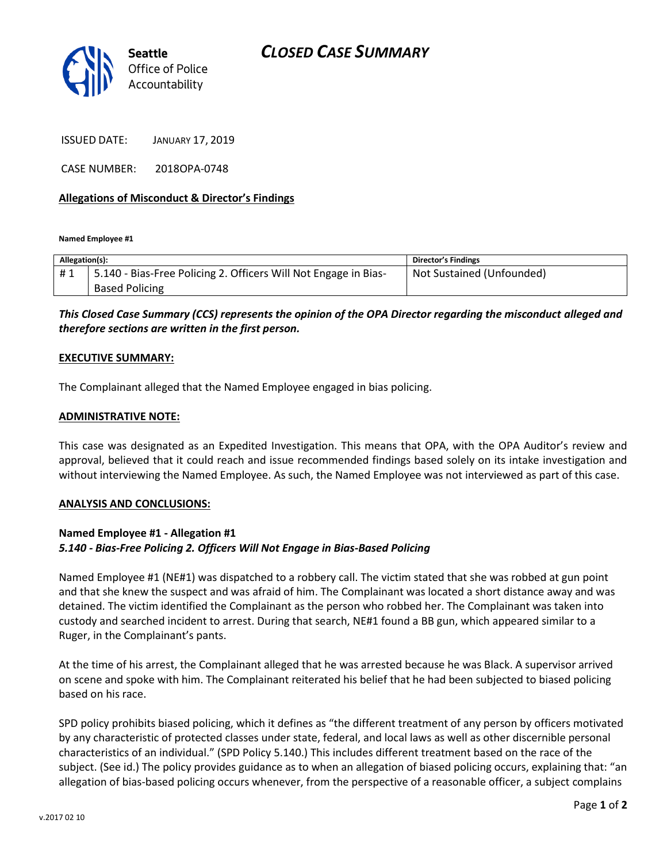# *CLOSED CASE SUMMARY*



ISSUED DATE: JANUARY 17, 2019

CASE NUMBER: 2018OPA-0748

### **Allegations of Misconduct & Director's Findings**

**Named Employee #1**

| Allegation(s): |                                                                 | Director's Findings       |
|----------------|-----------------------------------------------------------------|---------------------------|
| #1             | 5.140 - Bias-Free Policing 2. Officers Will Not Engage in Bias- | Not Sustained (Unfounded) |
|                | <b>Based Policing</b>                                           |                           |

*This Closed Case Summary (CCS) represents the opinion of the OPA Director regarding the misconduct alleged and therefore sections are written in the first person.* 

#### **EXECUTIVE SUMMARY:**

The Complainant alleged that the Named Employee engaged in bias policing.

#### **ADMINISTRATIVE NOTE:**

This case was designated as an Expedited Investigation. This means that OPA, with the OPA Auditor's review and approval, believed that it could reach and issue recommended findings based solely on its intake investigation and without interviewing the Named Employee. As such, the Named Employee was not interviewed as part of this case.

#### **ANALYSIS AND CONCLUSIONS:**

### **Named Employee #1 - Allegation #1** *5.140 - Bias-Free Policing 2. Officers Will Not Engage in Bias-Based Policing*

Named Employee #1 (NE#1) was dispatched to a robbery call. The victim stated that she was robbed at gun point and that she knew the suspect and was afraid of him. The Complainant was located a short distance away and was detained. The victim identified the Complainant as the person who robbed her. The Complainant was taken into custody and searched incident to arrest. During that search, NE#1 found a BB gun, which appeared similar to a Ruger, in the Complainant's pants.

At the time of his arrest, the Complainant alleged that he was arrested because he was Black. A supervisor arrived on scene and spoke with him. The Complainant reiterated his belief that he had been subjected to biased policing based on his race.

SPD policy prohibits biased policing, which it defines as "the different treatment of any person by officers motivated by any characteristic of protected classes under state, federal, and local laws as well as other discernible personal characteristics of an individual." (SPD Policy 5.140.) This includes different treatment based on the race of the subject. (See id.) The policy provides guidance as to when an allegation of biased policing occurs, explaining that: "an allegation of bias-based policing occurs whenever, from the perspective of a reasonable officer, a subject complains